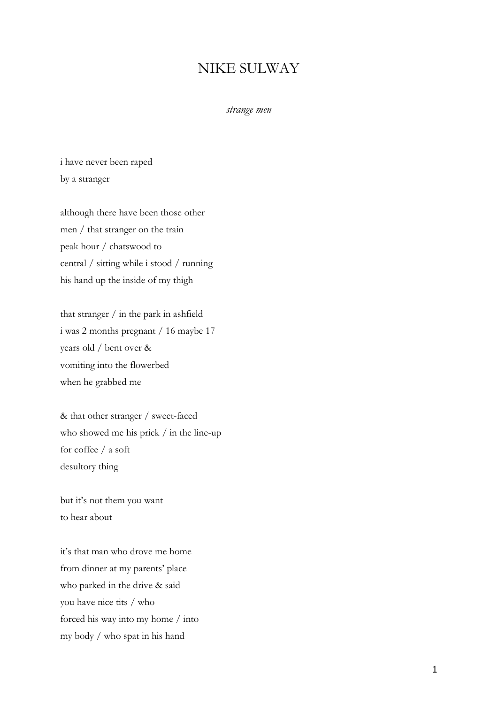## NIKE SULWAY

## *strange men*

i have never been raped by a stranger

although there have been those other men / that stranger on the train peak hour / chatswood to central / sitting while i stood / running his hand up the inside of my thigh

that stranger / in the park in ashfield i was 2 months pregnant / 16 maybe 17 years old / bent over & vomiting into the flowerbed when he grabbed me

& that other stranger / sweet-faced who showed me his prick / in the line-up for coffee / a soft desultory thing

but it's not them you want to hear about

it's that man who drove me home from dinner at my parents' place who parked in the drive & said you have nice tits / who forced his way into my home / into my body / who spat in his hand